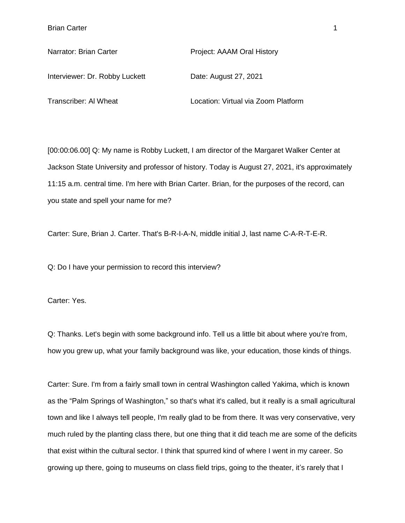Interviewer: Dr. Robby Luckett Date: August 27, 2021

Narrator: Brian Carter **Project: AAAM Oral History** 

Transcriber: Al Wheat Location: Virtual via Zoom Platform

[00:00:06.00] Q: My name is Robby Luckett, I am director of the Margaret Walker Center at Jackson State University and professor of history. Today is August 27, 2021, it's approximately 11:15 a.m. central time. I'm here with Brian Carter. Brian, for the purposes of the record, can you state and spell your name for me?

Carter: Sure, Brian J. Carter. That's B-R-I-A-N, middle initial J, last name C-A-R-T-E-R.

Q: Do I have your permission to record this interview?

Carter: Yes.

Q: Thanks. Let's begin with some background info. Tell us a little bit about where you're from, how you grew up, what your family background was like, your education, those kinds of things.

Carter: Sure. I'm from a fairly small town in central Washington called Yakima, which is known as the "Palm Springs of Washington," so that's what it's called, but it really is a small agricultural town and like I always tell people, I'm really glad to be from there. It was very conservative, very much ruled by the planting class there, but one thing that it did teach me are some of the deficits that exist within the cultural sector. I think that spurred kind of where I went in my career. So growing up there, going to museums on class field trips, going to the theater, it's rarely that I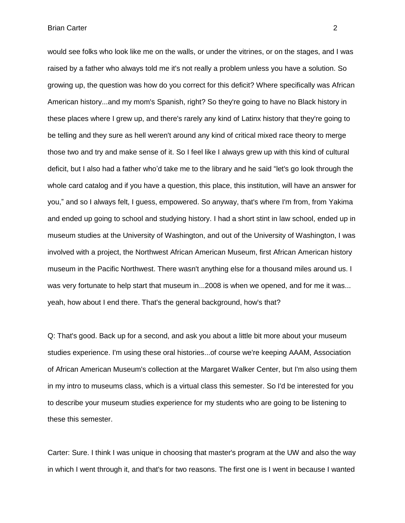would see folks who look like me on the walls, or under the vitrines, or on the stages, and I was raised by a father who always told me it's not really a problem unless you have a solution. So growing up, the question was how do you correct for this deficit? Where specifically was African American history...and my mom's Spanish, right? So they're going to have no Black history in these places where I grew up, and there's rarely any kind of Latinx history that they're going to be telling and they sure as hell weren't around any kind of critical mixed race theory to merge those two and try and make sense of it. So I feel like I always grew up with this kind of cultural deficit, but I also had a father who'd take me to the library and he said "let's go look through the whole card catalog and if you have a question, this place, this institution, will have an answer for you," and so I always felt, I guess, empowered. So anyway, that's where I'm from, from Yakima and ended up going to school and studying history. I had a short stint in law school, ended up in museum studies at the University of Washington, and out of the University of Washington, I was involved with a project, the Northwest African American Museum, first African American history museum in the Pacific Northwest. There wasn't anything else for a thousand miles around us. I was very fortunate to help start that museum in...2008 is when we opened, and for me it was... yeah, how about I end there. That's the general background, how's that?

Q: That's good. Back up for a second, and ask you about a little bit more about your museum studies experience. I'm using these oral histories...of course we're keeping AAAM, Association of African American Museum's collection at the Margaret Walker Center, but I'm also using them in my intro to museums class, which is a virtual class this semester. So I'd be interested for you to describe your museum studies experience for my students who are going to be listening to these this semester.

Carter: Sure. I think I was unique in choosing that master's program at the UW and also the way in which I went through it, and that's for two reasons. The first one is I went in because I wanted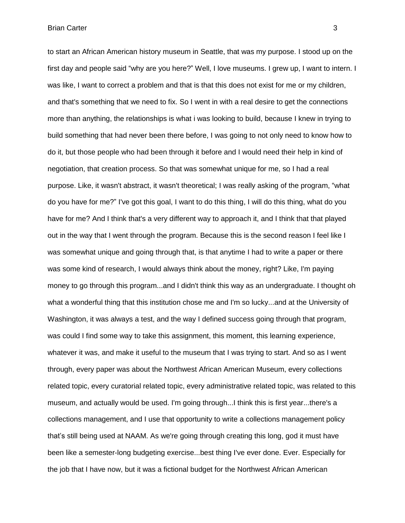to start an African American history museum in Seattle, that was my purpose. I stood up on the first day and people said "why are you here?" Well, I love museums. I grew up, I want to intern. I was like, I want to correct a problem and that is that this does not exist for me or my children, and that's something that we need to fix. So I went in with a real desire to get the connections more than anything, the relationships is what i was looking to build, because I knew in trying to build something that had never been there before, I was going to not only need to know how to do it, but those people who had been through it before and I would need their help in kind of negotiation, that creation process. So that was somewhat unique for me, so I had a real purpose. Like, it wasn't abstract, it wasn't theoretical; I was really asking of the program, "what do you have for me?" I've got this goal, I want to do this thing, I will do this thing, what do you have for me? And I think that's a very different way to approach it, and I think that that played out in the way that I went through the program. Because this is the second reason I feel like I was somewhat unique and going through that, is that anytime I had to write a paper or there was some kind of research, I would always think about the money, right? Like, I'm paying money to go through this program...and I didn't think this way as an undergraduate. I thought oh what a wonderful thing that this institution chose me and I'm so lucky...and at the University of Washington, it was always a test, and the way I defined success going through that program, was could I find some way to take this assignment, this moment, this learning experience, whatever it was, and make it useful to the museum that I was trying to start. And so as I went through, every paper was about the Northwest African American Museum, every collections related topic, every curatorial related topic, every administrative related topic, was related to this museum, and actually would be used. I'm going through...I think this is first year...there's a collections management, and I use that opportunity to write a collections management policy that's still being used at NAAM. As we're going through creating this long, god it must have been like a semester-long budgeting exercise...best thing I've ever done. Ever. Especially for the job that I have now, but it was a fictional budget for the Northwest African American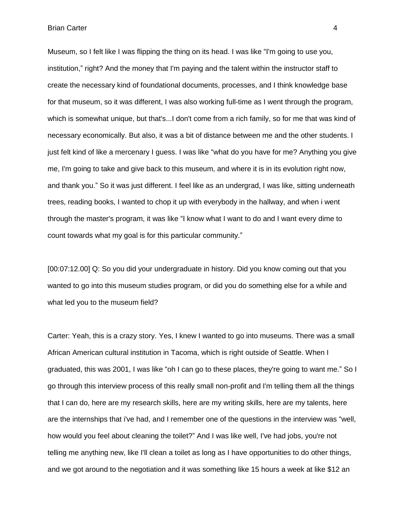Museum, so I felt like I was flipping the thing on its head. I was like "I'm going to use you, institution," right? And the money that I'm paying and the talent within the instructor staff to create the necessary kind of foundational documents, processes, and I think knowledge base for that museum, so it was different, I was also working full-time as I went through the program, which is somewhat unique, but that's...I don't come from a rich family, so for me that was kind of necessary economically. But also, it was a bit of distance between me and the other students. I just felt kind of like a mercenary I guess. I was like "what do you have for me? Anything you give me, I'm going to take and give back to this museum, and where it is in its evolution right now, and thank you." So it was just different. I feel like as an undergrad, I was like, sitting underneath trees, reading books, I wanted to chop it up with everybody in the hallway, and when i went through the master's program, it was like "I know what I want to do and I want every dime to count towards what my goal is for this particular community."

[00:07:12.00] Q: So you did your undergraduate in history. Did you know coming out that you wanted to go into this museum studies program, or did you do something else for a while and what led you to the museum field?

Carter: Yeah, this is a crazy story. Yes, I knew I wanted to go into museums. There was a small African American cultural institution in Tacoma, which is right outside of Seattle. When I graduated, this was 2001, I was like "oh I can go to these places, they're going to want me." So I go through this interview process of this really small non-profit and I'm telling them all the things that I can do, here are my research skills, here are my writing skills, here are my talents, here are the internships that i've had, and I remember one of the questions in the interview was "well, how would you feel about cleaning the toilet?" And I was like well, I've had jobs, you're not telling me anything new, like I'll clean a toilet as long as I have opportunities to do other things, and we got around to the negotiation and it was something like 15 hours a week at like \$12 an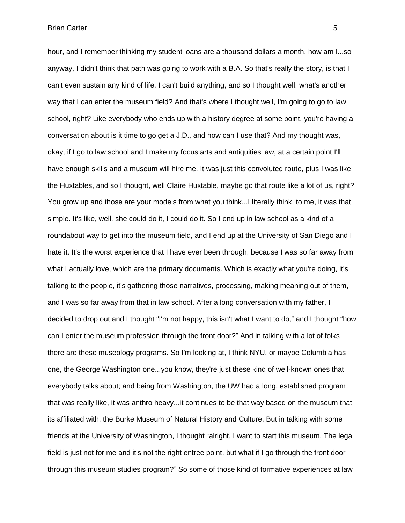hour, and I remember thinking my student loans are a thousand dollars a month, how am I...so anyway, I didn't think that path was going to work with a B.A. So that's really the story, is that I can't even sustain any kind of life. I can't build anything, and so I thought well, what's another way that I can enter the museum field? And that's where I thought well, I'm going to go to law school, right? Like everybody who ends up with a history degree at some point, you're having a conversation about is it time to go get a J.D., and how can I use that? And my thought was, okay, if I go to law school and I make my focus arts and antiquities law, at a certain point I'll have enough skills and a museum will hire me. It was just this convoluted route, plus I was like the Huxtables, and so I thought, well Claire Huxtable, maybe go that route like a lot of us, right? You grow up and those are your models from what you think...I literally think, to me, it was that simple. It's like, well, she could do it, I could do it. So I end up in law school as a kind of a roundabout way to get into the museum field, and I end up at the University of San Diego and I hate it. It's the worst experience that I have ever been through, because I was so far away from what I actually love, which are the primary documents. Which is exactly what you're doing, it's talking to the people, it's gathering those narratives, processing, making meaning out of them, and I was so far away from that in law school. After a long conversation with my father, I decided to drop out and I thought "I'm not happy, this isn't what I want to do," and I thought "how can I enter the museum profession through the front door?" And in talking with a lot of folks there are these museology programs. So I'm looking at, I think NYU, or maybe Columbia has one, the George Washington one...you know, they're just these kind of well-known ones that everybody talks about; and being from Washington, the UW had a long, established program that was really like, it was anthro heavy...it continues to be that way based on the museum that its affiliated with, the Burke Museum of Natural History and Culture. But in talking with some

friends at the University of Washington, I thought "alright, I want to start this museum. The legal field is just not for me and it's not the right entree point, but what if I go through the front door through this museum studies program?" So some of those kind of formative experiences at law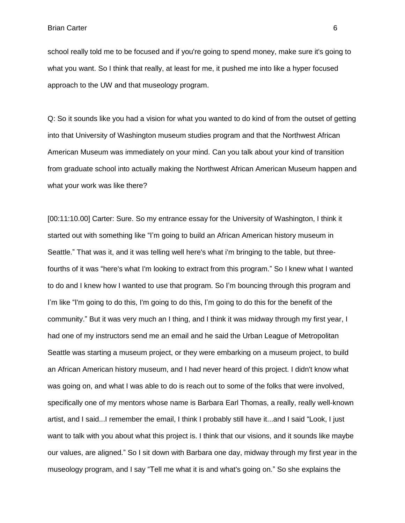school really told me to be focused and if you're going to spend money, make sure it's going to what you want. So I think that really, at least for me, it pushed me into like a hyper focused approach to the UW and that museology program.

Q: So it sounds like you had a vision for what you wanted to do kind of from the outset of getting into that University of Washington museum studies program and that the Northwest African American Museum was immediately on your mind. Can you talk about your kind of transition from graduate school into actually making the Northwest African American Museum happen and what your work was like there?

[00:11:10.00] Carter: Sure. So my entrance essay for the University of Washington, I think it started out with something like "I'm going to build an African American history museum in Seattle." That was it, and it was telling well here's what i'm bringing to the table, but threefourths of it was "here's what I'm looking to extract from this program." So I knew what I wanted to do and I knew how I wanted to use that program. So I'm bouncing through this program and I'm like "I'm going to do this, I'm going to do this, I'm going to do this for the benefit of the community." But it was very much an I thing, and I think it was midway through my first year, I had one of my instructors send me an email and he said the Urban League of Metropolitan Seattle was starting a museum project, or they were embarking on a museum project, to build an African American history museum, and I had never heard of this project. I didn't know what was going on, and what I was able to do is reach out to some of the folks that were involved, specifically one of my mentors whose name is Barbara Earl Thomas, a really, really well-known artist, and I said...I remember the email, I think I probably still have it...and I said "Look, I just want to talk with you about what this project is. I think that our visions, and it sounds like maybe our values, are aligned." So I sit down with Barbara one day, midway through my first year in the museology program, and I say "Tell me what it is and what's going on." So she explains the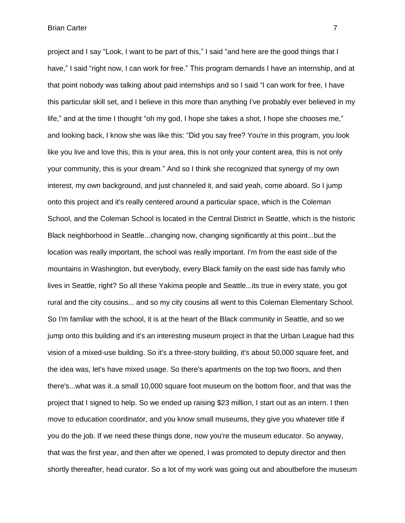project and I say "Look, I want to be part of this," I said "and here are the good things that I have," I said "right now, I can work for free." This program demands I have an internship, and at that point nobody was talking about paid internships and so I said "I can work for free, I have this particular skill set, and I believe in this more than anything I've probably ever believed in my life," and at the time I thought "oh my god, I hope she takes a shot, I hope she chooses me," and looking back, I know she was like this: "Did you say free? You're in this program, you look like you live and love this, this is your area, this is not only your content area, this is not only your community, this is your dream." And so I think she recognized that synergy of my own interest, my own background, and just channeled it, and said yeah, come aboard. So I jump onto this project and it's really centered around a particular space, which is the Coleman School, and the Coleman School is located in the Central District in Seattle, which is the historic Black neighborhood in Seattle...changing now, changing significantly at this point...but the location was really important, the school was really important. I'm from the east side of the mountains in Washington, but everybody, every Black family on the east side has family who lives in Seattle, right? So all these Yakima people and Seattle...its true in every state, you got rural and the city cousins... and so my city cousins all went to this Coleman Elementary School. So I'm familiar with the school, it is at the heart of the Black community in Seattle, and so we jump onto this building and it's an interesting museum project in that the Urban League had this vision of a mixed-use building. So it's a three-story building, it's about 50,000 square feet, and the idea was, let's have mixed usage. So there's apartments on the top two floors, and then there's...what was it..a small 10,000 square foot museum on the bottom floor, and that was the project that I signed to help. So we ended up raising \$23 million, I start out as an intern. I then move to education coordinator, and you know small museums, they give you whatever title if you do the job. If we need these things done, now you're the museum educator. So anyway, that was the first year, and then after we opened, I was promoted to deputy director and then shortly thereafter, head curator. So a lot of my work was going out and aboutbefore the museum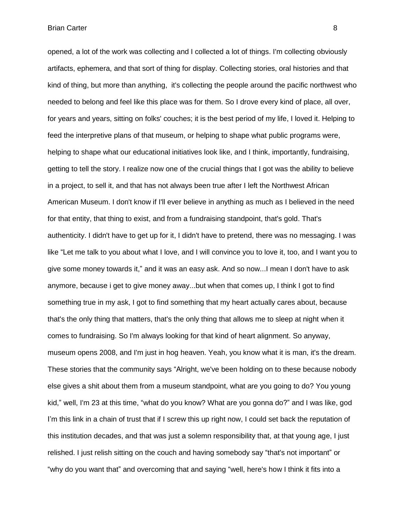opened, a lot of the work was collecting and I collected a lot of things. I'm collecting obviously artifacts, ephemera, and that sort of thing for display. Collecting stories, oral histories and that kind of thing, but more than anything, it's collecting the people around the pacific northwest who needed to belong and feel like this place was for them. So I drove every kind of place, all over, for years and years, sitting on folks' couches; it is the best period of my life, I loved it. Helping to feed the interpretive plans of that museum, or helping to shape what public programs were, helping to shape what our educational initiatives look like, and I think, importantly, fundraising, getting to tell the story. I realize now one of the crucial things that I got was the ability to believe in a project, to sell it, and that has not always been true after I left the Northwest African American Museum. I don't know if I'll ever believe in anything as much as I believed in the need for that entity, that thing to exist, and from a fundraising standpoint, that's gold. That's authenticity. I didn't have to get up for it, I didn't have to pretend, there was no messaging. I was like "Let me talk to you about what I love, and I will convince you to love it, too, and I want you to give some money towards it," and it was an easy ask. And so now...I mean I don't have to ask anymore, because i get to give money away...but when that comes up, I think I got to find something true in my ask, I got to find something that my heart actually cares about, because that's the only thing that matters, that's the only thing that allows me to sleep at night when it comes to fundraising. So I'm always looking for that kind of heart alignment. So anyway, museum opens 2008, and I'm just in hog heaven. Yeah, you know what it is man, it's the dream. These stories that the community says "Alright, we've been holding on to these because nobody else gives a shit about them from a museum standpoint, what are you going to do? You young kid," well, I'm 23 at this time, "what do you know? What are you gonna do?" and I was like, god I'm this link in a chain of trust that if I screw this up right now, I could set back the reputation of this institution decades, and that was just a solemn responsibility that, at that young age, I just relished. I just relish sitting on the couch and having somebody say "that's not important" or "why do you want that" and overcoming that and saying "well, here's how I think it fits into a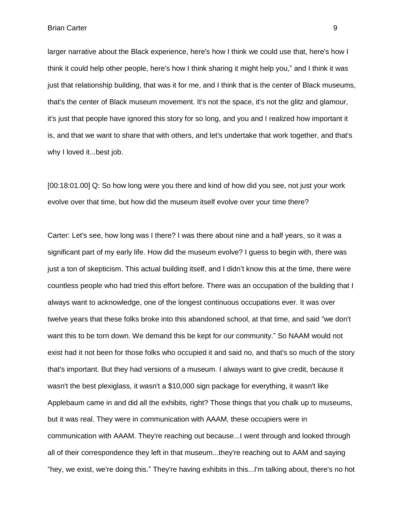larger narrative about the Black experience, here's how I think we could use that, here's how I think it could help other people, here's how I think sharing it might help you," and I think it was just that relationship building, that was it for me, and I think that is the center of Black museums, that's the center of Black museum movement. It's not the space, it's not the glitz and glamour, it's just that people have ignored this story for so long, and you and I realized how important it is, and that we want to share that with others, and let's undertake that work together, and that's why I loved it...best job.

[00:18:01.00] Q: So how long were you there and kind of how did you see, not just your work evolve over that time, but how did the museum itself evolve over your time there?

Carter: Let's see, how long was I there? I was there about nine and a half years, so it was a significant part of my early life. How did the museum evolve? I guess to begin with, there was just a ton of skepticism. This actual building itself, and I didn't know this at the time, there were countless people who had tried this effort before. There was an occupation of the building that I always want to acknowledge, one of the longest continuous occupations ever. It was over twelve years that these folks broke into this abandoned school, at that time, and said "we don't want this to be torn down. We demand this be kept for our community." So NAAM would not exist had it not been for those folks who occupied it and said no, and that's so much of the story that's important. But they had versions of a museum. I always want to give credit, because it wasn't the best plexiglass, it wasn't a \$10,000 sign package for everything, it wasn't like Applebaum came in and did all the exhibits, right? Those things that you chalk up to museums, but it was real. They were in communication with AAAM, these occupiers were in communication with AAAM. They're reaching out because...I went through and looked through all of their correspondence they left in that museum...they're reaching out to AAM and saying "hey, we exist, we're doing this." They're having exhibits in this...I'm talking about, there's no hot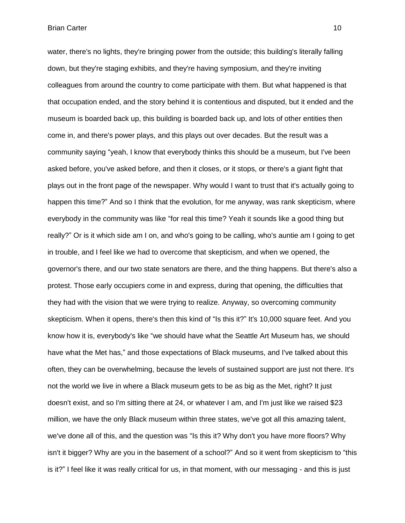water, there's no lights, they're bringing power from the outside; this building's literally falling down, but they're staging exhibits, and they're having symposium, and they're inviting colleagues from around the country to come participate with them. But what happened is that that occupation ended, and the story behind it is contentious and disputed, but it ended and the museum is boarded back up, this building is boarded back up, and lots of other entities then come in, and there's power plays, and this plays out over decades. But the result was a community saying "yeah, I know that everybody thinks this should be a museum, but I've been asked before, you've asked before, and then it closes, or it stops, or there's a giant fight that plays out in the front page of the newspaper. Why would I want to trust that it's actually going to happen this time?" And so I think that the evolution, for me anyway, was rank skepticism, where everybody in the community was like "for real this time? Yeah it sounds like a good thing but really?" Or is it which side am I on, and who's going to be calling, who's auntie am I going to get in trouble, and I feel like we had to overcome that skepticism, and when we opened, the governor's there, and our two state senators are there, and the thing happens. But there's also a protest. Those early occupiers come in and express, during that opening, the difficulties that they had with the vision that we were trying to realize. Anyway, so overcoming community skepticism. When it opens, there's then this kind of "Is this it?" It's 10,000 square feet. And you know how it is, everybody's like "we should have what the Seattle Art Museum has, we should have what the Met has," and those expectations of Black museums, and I've talked about this often, they can be overwhelming, because the levels of sustained support are just not there. It's not the world we live in where a Black museum gets to be as big as the Met, right? It just doesn't exist, and so I'm sitting there at 24, or whatever I am, and I'm just like we raised \$23 million, we have the only Black museum within three states, we've got all this amazing talent, we've done all of this, and the question was "Is this it? Why don't you have more floors? Why isn't it bigger? Why are you in the basement of a school?" And so it went from skepticism to "this is it?" I feel like it was really critical for us, in that moment, with our messaging - and this is just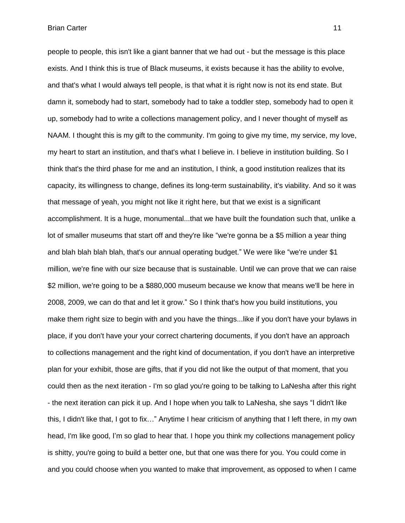people to people, this isn't like a giant banner that we had out - but the message is this place exists. And I think this is true of Black museums, it exists because it has the ability to evolve, and that's what I would always tell people, is that what it is right now is not its end state. But damn it, somebody had to start, somebody had to take a toddler step, somebody had to open it up, somebody had to write a collections management policy, and I never thought of myself as NAAM. I thought this is my gift to the community. I'm going to give my time, my service, my love, my heart to start an institution, and that's what I believe in. I believe in institution building. So I think that's the third phase for me and an institution, I think, a good institution realizes that its capacity, its willingness to change, defines its long-term sustainability, it's viability. And so it was that message of yeah, you might not like it right here, but that we exist is a significant accomplishment. It is a huge, monumental...that we have built the foundation such that, unlike a lot of smaller museums that start off and they're like "we're gonna be a \$5 million a year thing and blah blah blah blah, that's our annual operating budget." We were like "we're under \$1 million, we're fine with our size because that is sustainable. Until we can prove that we can raise \$2 million, we're going to be a \$880,000 museum because we know that means we'll be here in 2008, 2009, we can do that and let it grow." So I think that's how you build institutions, you make them right size to begin with and you have the things...like if you don't have your bylaws in place, if you don't have your your correct chartering documents, if you don't have an approach to collections management and the right kind of documentation, if you don't have an interpretive plan for your exhibit, those are gifts, that if you did not like the output of that moment, that you could then as the next iteration - I'm so glad you're going to be talking to LaNesha after this right - the next iteration can pick it up. And I hope when you talk to LaNesha, she says "I didn't like this, I didn't like that, I got to fix…" Anytime I hear criticism of anything that I left there, in my own head, I'm like good, I'm so glad to hear that. I hope you think my collections management policy is shitty, you're going to build a better one, but that one was there for you. You could come in and you could choose when you wanted to make that improvement, as opposed to when I came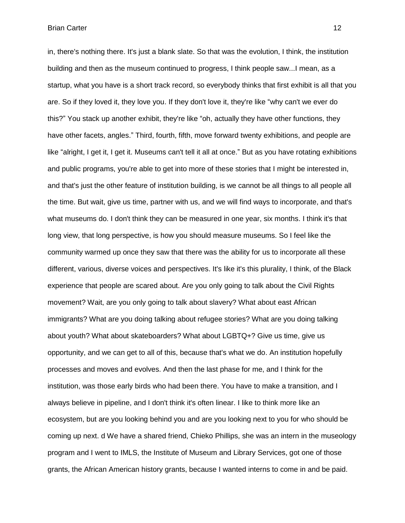in, there's nothing there. It's just a blank slate. So that was the evolution, I think, the institution building and then as the museum continued to progress, I think people saw...I mean, as a startup, what you have is a short track record, so everybody thinks that first exhibit is all that you are. So if they loved it, they love you. If they don't love it, they're like "why can't we ever do this?" You stack up another exhibit, they're like "oh, actually they have other functions, they have other facets, angles." Third, fourth, fifth, move forward twenty exhibitions, and people are like "alright, I get it, I get it. Museums can't tell it all at once." But as you have rotating exhibitions and public programs, you're able to get into more of these stories that I might be interested in, and that's just the other feature of institution building, is we cannot be all things to all people all the time. But wait, give us time, partner with us, and we will find ways to incorporate, and that's what museums do. I don't think they can be measured in one year, six months. I think it's that long view, that long perspective, is how you should measure museums. So I feel like the community warmed up once they saw that there was the ability for us to incorporate all these different, various, diverse voices and perspectives. It's like it's this plurality, I think, of the Black experience that people are scared about. Are you only going to talk about the Civil Rights movement? Wait, are you only going to talk about slavery? What about east African immigrants? What are you doing talking about refugee stories? What are you doing talking about youth? What about skateboarders? What about LGBTQ+? Give us time, give us opportunity, and we can get to all of this, because that's what we do. An institution hopefully processes and moves and evolves. And then the last phase for me, and I think for the institution, was those early birds who had been there. You have to make a transition, and I always believe in pipeline, and I don't think it's often linear. I like to think more like an ecosystem, but are you looking behind you and are you looking next to you for who should be coming up next. d We have a shared friend, Chieko Phillips, she was an intern in the museology program and I went to IMLS, the Institute of Museum and Library Services, got one of those grants, the African American history grants, because I wanted interns to come in and be paid.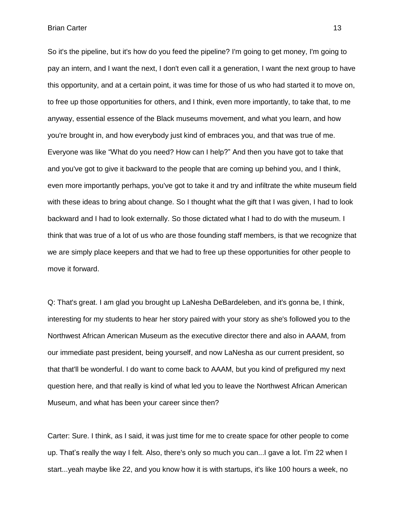So it's the pipeline, but it's how do you feed the pipeline? I'm going to get money, I'm going to pay an intern, and I want the next, I don't even call it a generation, I want the next group to have this opportunity, and at a certain point, it was time for those of us who had started it to move on, to free up those opportunities for others, and I think, even more importantly, to take that, to me anyway, essential essence of the Black museums movement, and what you learn, and how you're brought in, and how everybody just kind of embraces you, and that was true of me. Everyone was like "What do you need? How can I help?" And then you have got to take that and you've got to give it backward to the people that are coming up behind you, and I think, even more importantly perhaps, you've got to take it and try and infiltrate the white museum field with these ideas to bring about change. So I thought what the gift that I was given, I had to look backward and I had to look externally. So those dictated what I had to do with the museum. I think that was true of a lot of us who are those founding staff members, is that we recognize that we are simply place keepers and that we had to free up these opportunities for other people to move it forward.

Q: That's great. I am glad you brought up LaNesha DeBardeleben, and it's gonna be, I think, interesting for my students to hear her story paired with your story as she's followed you to the Northwest African American Museum as the executive director there and also in AAAM, from our immediate past president, being yourself, and now LaNesha as our current president, so that that'll be wonderful. I do want to come back to AAAM, but you kind of prefigured my next question here, and that really is kind of what led you to leave the Northwest African American Museum, and what has been your career since then?

Carter: Sure. I think, as I said, it was just time for me to create space for other people to come up. That's really the way I felt. Also, there's only so much you can...I gave a lot. I'm 22 when I start...yeah maybe like 22, and you know how it is with startups, it's like 100 hours a week, no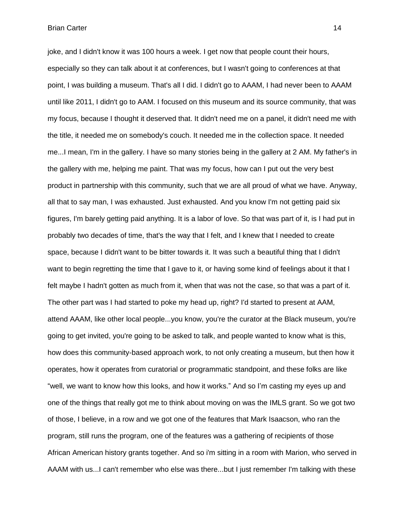joke, and I didn't know it was 100 hours a week. I get now that people count their hours, especially so they can talk about it at conferences, but I wasn't going to conferences at that point, I was building a museum. That's all I did. I didn't go to AAAM, I had never been to AAAM until like 2011, I didn't go to AAM. I focused on this museum and its source community, that was my focus, because I thought it deserved that. It didn't need me on a panel, it didn't need me with the title, it needed me on somebody's couch. It needed me in the collection space. It needed me...I mean, I'm in the gallery. I have so many stories being in the gallery at 2 AM. My father's in the gallery with me, helping me paint. That was my focus, how can I put out the very best product in partnership with this community, such that we are all proud of what we have. Anyway, all that to say man, I was exhausted. Just exhausted. And you know I'm not getting paid six figures, I'm barely getting paid anything. It is a labor of love. So that was part of it, is I had put in probably two decades of time, that's the way that I felt, and I knew that I needed to create space, because I didn't want to be bitter towards it. It was such a beautiful thing that I didn't want to begin regretting the time that I gave to it, or having some kind of feelings about it that I felt maybe I hadn't gotten as much from it, when that was not the case, so that was a part of it. The other part was I had started to poke my head up, right? I'd started to present at AAM, attend AAAM, like other local people...you know, you're the curator at the Black museum, you're going to get invited, you're going to be asked to talk, and people wanted to know what is this, how does this community-based approach work, to not only creating a museum, but then how it operates, how it operates from curatorial or programmatic standpoint, and these folks are like "well, we want to know how this looks, and how it works." And so I'm casting my eyes up and one of the things that really got me to think about moving on was the IMLS grant. So we got two of those, I believe, in a row and we got one of the features that Mark Isaacson, who ran the program, still runs the program, one of the features was a gathering of recipients of those African American history grants together. And so i'm sitting in a room with Marion, who served in AAAM with us...I can't remember who else was there...but I just remember I'm talking with these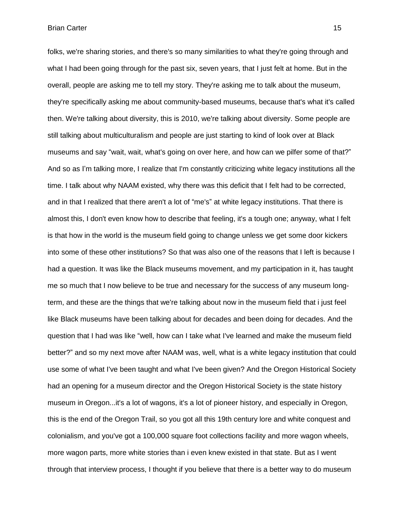**Brian Carter 15** (1999) **15** 

folks, we're sharing stories, and there's so many similarities to what they're going through and what I had been going through for the past six, seven years, that I just felt at home. But in the overall, people are asking me to tell my story. They're asking me to talk about the museum, they're specifically asking me about community-based museums, because that's what it's called then. We're talking about diversity, this is 2010, we're talking about diversity. Some people are still talking about multiculturalism and people are just starting to kind of look over at Black museums and say "wait, wait, what's going on over here, and how can we pilfer some of that?" And so as I'm talking more, I realize that I'm constantly criticizing white legacy institutions all the time. I talk about why NAAM existed, why there was this deficit that I felt had to be corrected, and in that I realized that there aren't a lot of "me's" at white legacy institutions. That there is almost this, I don't even know how to describe that feeling, it's a tough one; anyway, what I felt is that how in the world is the museum field going to change unless we get some door kickers into some of these other institutions? So that was also one of the reasons that I left is because I had a question. It was like the Black museums movement, and my participation in it, has taught me so much that I now believe to be true and necessary for the success of any museum longterm, and these are the things that we're talking about now in the museum field that i just feel like Black museums have been talking about for decades and been doing for decades. And the question that I had was like "well, how can I take what I've learned and make the museum field better?" and so my next move after NAAM was, well, what is a white legacy institution that could use some of what I've been taught and what I've been given? And the Oregon Historical Society had an opening for a museum director and the Oregon Historical Society is the state history museum in Oregon...it's a lot of wagons, it's a lot of pioneer history, and especially in Oregon, this is the end of the Oregon Trail, so you got all this 19th century lore and white conquest and colonialism, and you've got a 100,000 square foot collections facility and more wagon wheels, more wagon parts, more white stories than i even knew existed in that state. But as I went through that interview process, I thought if you believe that there is a better way to do museum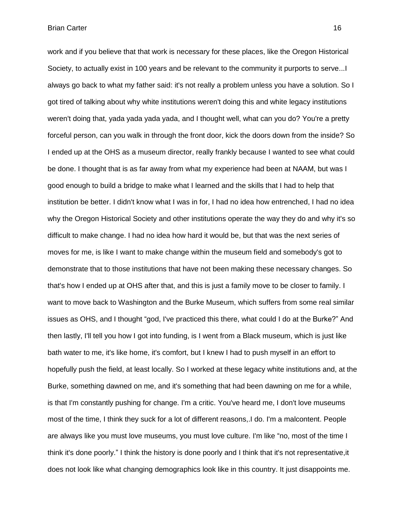work and if you believe that that work is necessary for these places, like the Oregon Historical Society, to actually exist in 100 years and be relevant to the community it purports to serve...I always go back to what my father said: it's not really a problem unless you have a solution. So I got tired of talking about why white institutions weren't doing this and white legacy institutions weren't doing that, yada yada yada yada, and I thought well, what can you do? You're a pretty forceful person, can you walk in through the front door, kick the doors down from the inside? So I ended up at the OHS as a museum director, really frankly because I wanted to see what could be done. I thought that is as far away from what my experience had been at NAAM, but was I good enough to build a bridge to make what I learned and the skills that I had to help that institution be better. I didn't know what I was in for, I had no idea how entrenched, I had no idea why the Oregon Historical Society and other institutions operate the way they do and why it's so difficult to make change. I had no idea how hard it would be, but that was the next series of moves for me, is like I want to make change within the museum field and somebody's got to demonstrate that to those institutions that have not been making these necessary changes. So that's how I ended up at OHS after that, and this is just a family move to be closer to family. I want to move back to Washington and the Burke Museum, which suffers from some real similar issues as OHS, and I thought "god, I've practiced this there, what could I do at the Burke?" And then lastly, I'll tell you how I got into funding, is I went from a Black museum, which is just like bath water to me, it's like home, it's comfort, but I knew I had to push myself in an effort to hopefully push the field, at least locally. So I worked at these legacy white institutions and, at the Burke, something dawned on me, and it's something that had been dawning on me for a while, is that I'm constantly pushing for change. I'm a critic. You've heard me, I don't love museums most of the time, I think they suck for a lot of different reasons,.I do. I'm a malcontent. People are always like you must love museums, you must love culture. I'm like "no, most of the time I think it's done poorly." I think the history is done poorly and I think that it's not representative,it does not look like what changing demographics look like in this country. It just disappoints me.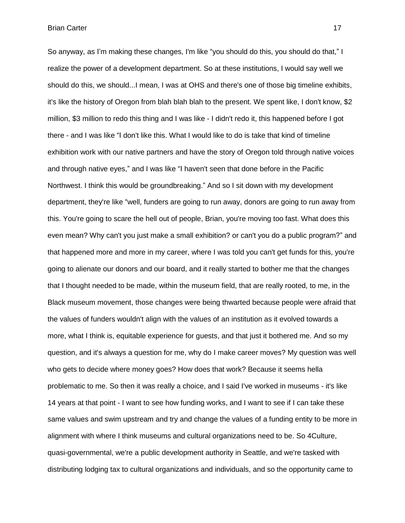So anyway, as I'm making these changes, I'm like "you should do this, you should do that," I realize the power of a development department. So at these institutions, I would say well we should do this, we should...I mean, I was at OHS and there's one of those big timeline exhibits, it's like the history of Oregon from blah blah blah to the present. We spent like, I don't know, \$2 million, \$3 million to redo this thing and I was like - I didn't redo it, this happened before I got there - and I was like "I don't like this. What I would like to do is take that kind of timeline exhibition work with our native partners and have the story of Oregon told through native voices and through native eyes," and I was like "I haven't seen that done before in the Pacific Northwest. I think this would be groundbreaking." And so I sit down with my development department, they're like "well, funders are going to run away, donors are going to run away from this. You're going to scare the hell out of people, Brian, you're moving too fast. What does this even mean? Why can't you just make a small exhibition? or can't you do a public program?" and that happened more and more in my career, where I was told you can't get funds for this, you're going to alienate our donors and our board, and it really started to bother me that the changes that I thought needed to be made, within the museum field, that are really rooted, to me, in the Black museum movement, those changes were being thwarted because people were afraid that the values of funders wouldn't align with the values of an institution as it evolved towards a more, what I think is, equitable experience for guests, and that just it bothered me. And so my question, and it's always a question for me, why do I make career moves? My question was well who gets to decide where money goes? How does that work? Because it seems hella problematic to me. So then it was really a choice, and I said I've worked in museums - it's like 14 years at that point - I want to see how funding works, and I want to see if I can take these same values and swim upstream and try and change the values of a funding entity to be more in alignment with where I think museums and cultural organizations need to be. So 4Culture, quasi-governmental, we're a public development authority in Seattle, and we're tasked with distributing lodging tax to cultural organizations and individuals, and so the opportunity came to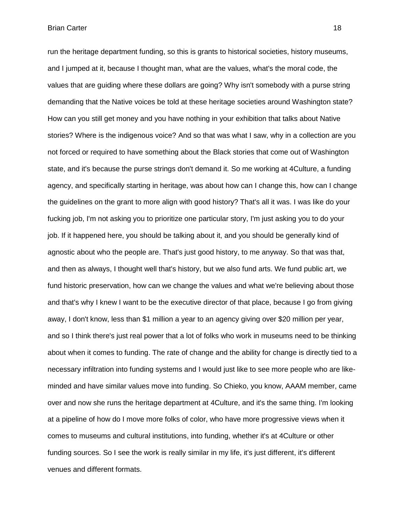run the heritage department funding, so this is grants to historical societies, history museums, and I jumped at it, because I thought man, what are the values, what's the moral code, the values that are guiding where these dollars are going? Why isn't somebody with a purse string demanding that the Native voices be told at these heritage societies around Washington state? How can you still get money and you have nothing in your exhibition that talks about Native stories? Where is the indigenous voice? And so that was what I saw, why in a collection are you not forced or required to have something about the Black stories that come out of Washington state, and it's because the purse strings don't demand it. So me working at 4Culture, a funding agency, and specifically starting in heritage, was about how can I change this, how can I change the guidelines on the grant to more align with good history? That's all it was. I was like do your fucking job, I'm not asking you to prioritize one particular story, I'm just asking you to do your job. If it happened here, you should be talking about it, and you should be generally kind of agnostic about who the people are. That's just good history, to me anyway. So that was that, and then as always, I thought well that's history, but we also fund arts. We fund public art, we fund historic preservation, how can we change the values and what we're believing about those and that's why I knew I want to be the executive director of that place, because I go from giving away, I don't know, less than \$1 million a year to an agency giving over \$20 million per year, and so I think there's just real power that a lot of folks who work in museums need to be thinking about when it comes to funding. The rate of change and the ability for change is directly tied to a necessary infiltration into funding systems and I would just like to see more people who are likeminded and have similar values move into funding. So Chieko, you know, AAAM member, came over and now she runs the heritage department at 4Culture, and it's the same thing. I'm looking at a pipeline of how do I move more folks of color, who have more progressive views when it comes to museums and cultural institutions, into funding, whether it's at 4Culture or other funding sources. So I see the work is really similar in my life, it's just different, it's different venues and different formats.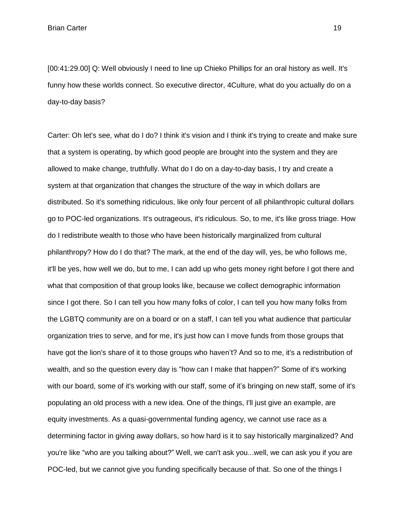[00:41:29.00] Q: Well obviously I need to line up Chieko Phillips for an oral history as well. It's funny how these worlds connect. So executive director, 4Culture, what do you actually do on a day-to-day basis?

Carter: Oh let's see, what do I do? I think it's vision and I think it's trying to create and make sure that a system is operating, by which good people are brought into the system and they are allowed to make change, truthfully. What do I do on a day-to-day basis, I try and create a system at that organization that changes the structure of the way in which dollars are distributed. So it's something ridiculous, like only four percent of all philanthropic cultural dollars go to POC-led organizations. It's outrageous, it's ridiculous. So, to me, it's like gross triage. How do I redistribute wealth to those who have been historically marginalized from cultural philanthropy? How do I do that? The mark, at the end of the day will, yes, be who follows me, it'll be yes, how well we do, but to me, I can add up who gets money right before I got there and what that composition of that group looks like, because we collect demographic information since I got there. So I can tell you how many folks of color, I can tell you how many folks from the LGBTQ community are on a board or on a staff, I can tell you what audience that particular organization tries to serve, and for me, it's just how can I move funds from those groups that have got the lion's share of it to those groups who haven't? And so to me, it's a redistribution of wealth, and so the question every day is "how can I make that happen?" Some of it's working with our board, some of it's working with our staff, some of it's bringing on new staff, some of it's populating an old process with a new idea. One of the things, I'll just give an example, are equity investments. As a quasi-governmental funding agency, we cannot use race as a determining factor in giving away dollars, so how hard is it to say historically marginalized? And you're like "who are you talking about?" Well, we can't ask you...well, we can ask you if you are POC-led, but we cannot give you funding specifically because of that. So one of the things I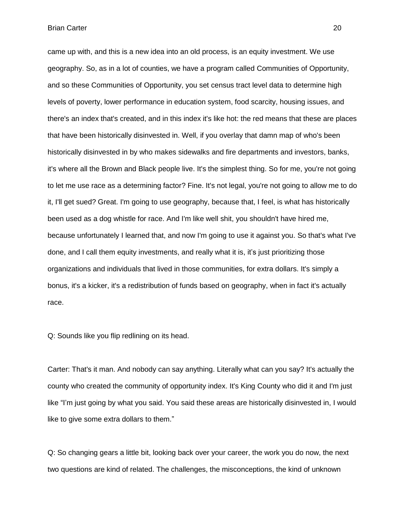came up with, and this is a new idea into an old process, is an equity investment. We use geography. So, as in a lot of counties, we have a program called Communities of Opportunity, and so these Communities of Opportunity, you set census tract level data to determine high levels of poverty, lower performance in education system, food scarcity, housing issues, and there's an index that's created, and in this index it's like hot: the red means that these are places that have been historically disinvested in. Well, if you overlay that damn map of who's been historically disinvested in by who makes sidewalks and fire departments and investors, banks, it's where all the Brown and Black people live. It's the simplest thing. So for me, you're not going to let me use race as a determining factor? Fine. It's not legal, you're not going to allow me to do it, I'll get sued? Great. I'm going to use geography, because that, I feel, is what has historically been used as a dog whistle for race. And I'm like well shit, you shouldn't have hired me, because unfortunately I learned that, and now I'm going to use it against you. So that's what I've done, and I call them equity investments, and really what it is, it's just prioritizing those organizations and individuals that lived in those communities, for extra dollars. It's simply a bonus, it's a kicker, it's a redistribution of funds based on geography, when in fact it's actually race.

Q: Sounds like you flip redlining on its head.

Carter: That's it man. And nobody can say anything. Literally what can you say? It's actually the county who created the community of opportunity index. It's King County who did it and I'm just like "I'm just going by what you said. You said these areas are historically disinvested in, I would like to give some extra dollars to them."

Q: So changing gears a little bit, looking back over your career, the work you do now, the next two questions are kind of related. The challenges, the misconceptions, the kind of unknown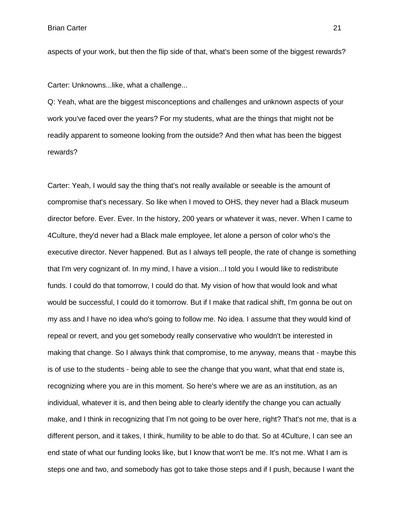aspects of your work, but then the flip side of that, what's been some of the biggest rewards?

Carter: Unknowns...like, what a challenge...

Q: Yeah, what are the biggest misconceptions and challenges and unknown aspects of your work you've faced over the years? For my students, what are the things that might not be readily apparent to someone looking from the outside? And then what has been the biggest rewards?

Carter: Yeah, I would say the thing that's not really available or seeable is the amount of compromise that's necessary. So like when I moved to OHS, they never had a Black museum director before. Ever. Ever. In the history, 200 years or whatever it was, never. When I came to 4Culture, they'd never had a Black male employee, let alone a person of color who's the executive director. Never happened. But as I always tell people, the rate of change is something that I'm very cognizant of. In my mind, I have a vision...I told you I would like to redistribute funds. I could do that tomorrow, I could do that. My vision of how that would look and what would be successful, I could do it tomorrow. But if I make that radical shift, I'm gonna be out on my ass and I have no idea who's going to follow me. No idea. I assume that they would kind of repeal or revert, and you get somebody really conservative who wouldn't be interested in making that change. So I always think that compromise, to me anyway, means that - maybe this is of use to the students - being able to see the change that you want, what that end state is, recognizing where you are in this moment. So here's where we are as an institution, as an individual, whatever it is, and then being able to clearly identify the change you can actually make, and I think in recognizing that I'm not going to be over here, right? That's not me, that is a different person, and it takes, I think, humility to be able to do that. So at 4Culture, I can see an end state of what our funding looks like, but I know that won't be me. It's not me. What I am is steps one and two, and somebody has got to take those steps and if I push, because I want the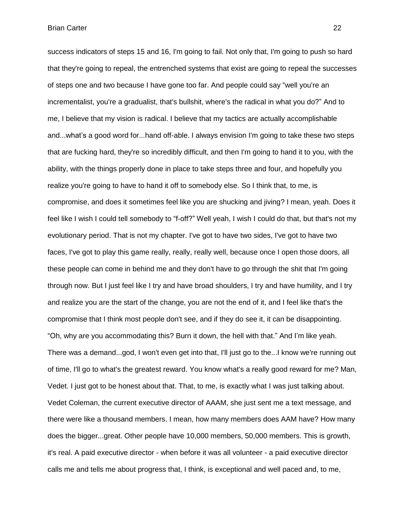success indicators of steps 15 and 16, I'm going to fail. Not only that, I'm going to push so hard that they're going to repeal, the entrenched systems that exist are going to repeal the successes of steps one and two because I have gone too far. And people could say "well you're an incrementalist, you're a gradualist, that's bullshit, where's the radical in what you do?" And to me, I believe that my vision is radical. I believe that my tactics are actually accomplishable and...what's a good word for...hand off-able. I always envision I'm going to take these two steps that are fucking hard, they're so incredibly difficult, and then I'm going to hand it to you, with the ability, with the things properly done in place to take steps three and four, and hopefully you realize you're going to have to hand it off to somebody else. So I think that, to me, is compromise, and does it sometimes feel like you are shucking and jiving? I mean, yeah. Does it feel like I wish I could tell somebody to "f-off?" Well yeah, I wish I could do that, but that's not my evolutionary period. That is not my chapter. I've got to have two sides, I've got to have two faces, I've got to play this game really, really, really well, because once I open those doors, all these people can come in behind me and they don't have to go through the shit that I'm going through now. But I just feel like I try and have broad shoulders, I try and have humility, and I try and realize you are the start of the change, you are not the end of it, and I feel like that's the compromise that I think most people don't see, and if they do see it, it can be disappointing. "Oh, why are you accommodating this? Burn it down, the hell with that." And I'm like yeah. There was a demand...god, I won't even get into that, I'll just go to the...I know we're running out of time, I'll go to what's the greatest reward. You know what's a really good reward for me? Man, Vedet. I just got to be honest about that. That, to me, is exactly what I was just talking about. Vedet Coleman, the current executive director of AAAM, she just sent me a text message, and there were like a thousand members. I mean, how many members does AAM have? How many does the bigger...great. Other people have 10,000 members, 50,000 members. This is growth, it's real. A paid executive director - when before it was all volunteer - a paid executive director calls me and tells me about progress that, I think, is exceptional and well paced and, to me,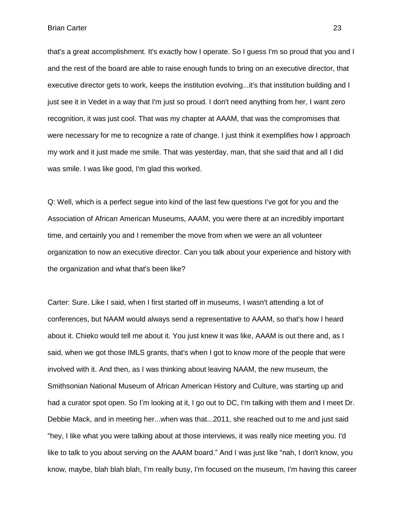that's a great accomplishment. It's exactly how I operate. So I guess I'm so proud that you and I and the rest of the board are able to raise enough funds to bring on an executive director, that executive director gets to work, keeps the institution evolving...it's that institution building and I just see it in Vedet in a way that I'm just so proud. I don't need anything from her, I want zero recognition, it was just cool. That was my chapter at AAAM, that was the compromises that were necessary for me to recognize a rate of change. I just think it exemplifies how I approach my work and it just made me smile. That was yesterday, man, that she said that and all I did was smile. I was like good, I'm glad this worked.

Q: Well, which is a perfect segue into kind of the last few questions I've got for you and the Association of African American Museums, AAAM, you were there at an incredibly important time, and certainly you and I remember the move from when we were an all volunteer organization to now an executive director. Can you talk about your experience and history with the organization and what that's been like?

Carter: Sure. Like I said, when I first started off in museums, I wasn't attending a lot of conferences, but NAAM would always send a representative to AAAM, so that's how I heard about it. Chieko would tell me about it. You just knew it was like, AAAM is out there and, as I said, when we got those IMLS grants, that's when I got to know more of the people that were involved with it. And then, as I was thinking about leaving NAAM, the new museum, the Smithsonian National Museum of African American History and Culture, was starting up and had a curator spot open. So I'm looking at it, I go out to DC, I'm talking with them and I meet Dr. Debbie Mack, and in meeting her...when was that...2011, she reached out to me and just said "hey, I like what you were talking about at those interviews, it was really nice meeting you. I'd like to talk to you about serving on the AAAM board." And I was just like "nah, I don't know, you know, maybe, blah blah blah, I'm really busy, I'm focused on the museum, I'm having this career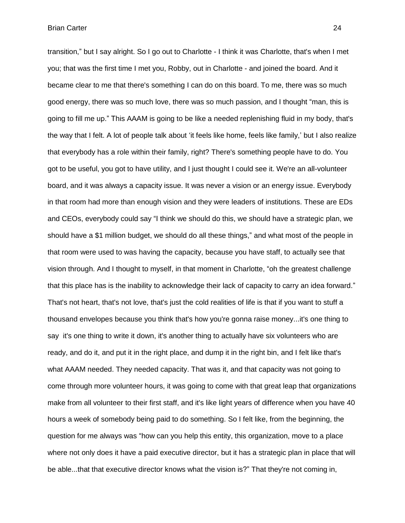transition," but I say alright. So I go out to Charlotte - I think it was Charlotte, that's when I met you; that was the first time I met you, Robby, out in Charlotte - and joined the board. And it became clear to me that there's something I can do on this board. To me, there was so much good energy, there was so much love, there was so much passion, and I thought "man, this is going to fill me up." This AAAM is going to be like a needed replenishing fluid in my body, that's the way that I felt. A lot of people talk about 'it feels like home, feels like family,' but I also realize that everybody has a role within their family, right? There's something people have to do. You got to be useful, you got to have utility, and I just thought I could see it. We're an all-volunteer board, and it was always a capacity issue. It was never a vision or an energy issue. Everybody in that room had more than enough vision and they were leaders of institutions. These are EDs and CEOs, everybody could say "I think we should do this, we should have a strategic plan, we should have a \$1 million budget, we should do all these things," and what most of the people in that room were used to was having the capacity, because you have staff, to actually see that vision through. And I thought to myself, in that moment in Charlotte, "oh the greatest challenge that this place has is the inability to acknowledge their lack of capacity to carry an idea forward." That's not heart, that's not love, that's just the cold realities of life is that if you want to stuff a thousand envelopes because you think that's how you're gonna raise money...it's one thing to say it's one thing to write it down, it's another thing to actually have six volunteers who are ready, and do it, and put it in the right place, and dump it in the right bin, and I felt like that's what AAAM needed. They needed capacity. That was it, and that capacity was not going to come through more volunteer hours, it was going to come with that great leap that organizations make from all volunteer to their first staff, and it's like light years of difference when you have 40 hours a week of somebody being paid to do something. So I felt like, from the beginning, the question for me always was "how can you help this entity, this organization, move to a place where not only does it have a paid executive director, but it has a strategic plan in place that will be able...that that executive director knows what the vision is?" That they're not coming in,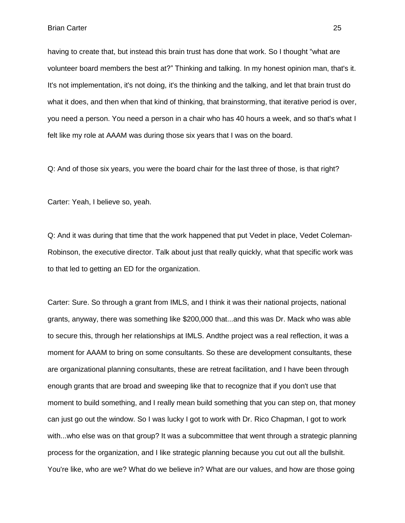having to create that, but instead this brain trust has done that work. So I thought "what are volunteer board members the best at?" Thinking and talking. In my honest opinion man, that's it. It's not implementation, it's not doing, it's the thinking and the talking, and let that brain trust do what it does, and then when that kind of thinking, that brainstorming, that iterative period is over, you need a person. You need a person in a chair who has 40 hours a week, and so that's what I felt like my role at AAAM was during those six years that I was on the board.

Q: And of those six years, you were the board chair for the last three of those, is that right?

Carter: Yeah, I believe so, yeah.

Q: And it was during that time that the work happened that put Vedet in place, Vedet Coleman-Robinson, the executive director. Talk about just that really quickly, what that specific work was to that led to getting an ED for the organization.

Carter: Sure. So through a grant from IMLS, and I think it was their national projects, national grants, anyway, there was something like \$200,000 that...and this was Dr. Mack who was able to secure this, through her relationships at IMLS. Andthe project was a real reflection, it was a moment for AAAM to bring on some consultants. So these are development consultants, these are organizational planning consultants, these are retreat facilitation, and I have been through enough grants that are broad and sweeping like that to recognize that if you don't use that moment to build something, and I really mean build something that you can step on, that money can just go out the window. So I was lucky I got to work with Dr. Rico Chapman, I got to work with...who else was on that group? It was a subcommittee that went through a strategic planning process for the organization, and I like strategic planning because you cut out all the bullshit. You're like, who are we? What do we believe in? What are our values, and how are those going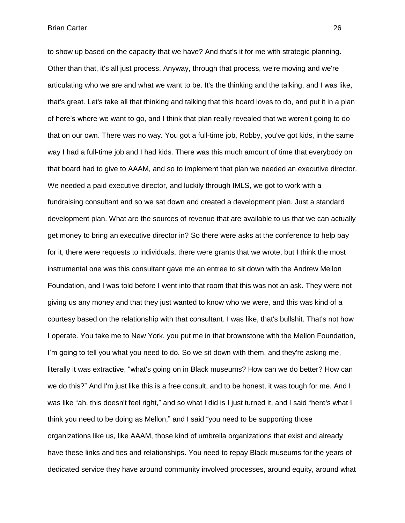to show up based on the capacity that we have? And that's it for me with strategic planning. Other than that, it's all just process. Anyway, through that process, we're moving and we're articulating who we are and what we want to be. It's the thinking and the talking, and I was like, that's great. Let's take all that thinking and talking that this board loves to do, and put it in a plan of here's where we want to go, and I think that plan really revealed that we weren't going to do that on our own. There was no way. You got a full-time job, Robby, you've got kids, in the same way I had a full-time job and I had kids. There was this much amount of time that everybody on that board had to give to AAAM, and so to implement that plan we needed an executive director. We needed a paid executive director, and luckily through IMLS, we got to work with a fundraising consultant and so we sat down and created a development plan. Just a standard development plan. What are the sources of revenue that are available to us that we can actually get money to bring an executive director in? So there were asks at the conference to help pay for it, there were requests to individuals, there were grants that we wrote, but I think the most instrumental one was this consultant gave me an entree to sit down with the Andrew Mellon Foundation, and I was told before I went into that room that this was not an ask. They were not giving us any money and that they just wanted to know who we were, and this was kind of a courtesy based on the relationship with that consultant. I was like, that's bullshit. That's not how I operate. You take me to New York, you put me in that brownstone with the Mellon Foundation, I'm going to tell you what you need to do. So we sit down with them, and they're asking me, literally it was extractive, "what's going on in Black museums? How can we do better? How can we do this?" And I'm just like this is a free consult, and to be honest, it was tough for me. And I was like "ah, this doesn't feel right," and so what I did is I just turned it, and I said "here's what I think you need to be doing as Mellon," and I said "you need to be supporting those organizations like us, like AAAM, those kind of umbrella organizations that exist and already have these links and ties and relationships. You need to repay Black museums for the years of dedicated service they have around community involved processes, around equity, around what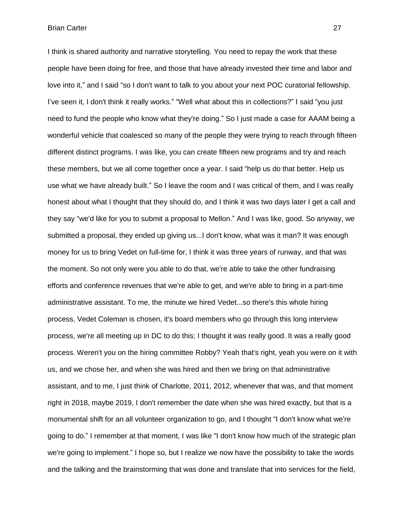I think is shared authority and narrative storytelling. You need to repay the work that these people have been doing for free, and those that have already invested their time and labor and love into it," and I said "so I don't want to talk to you about your next POC curatorial fellowship. I've seen it, I don't think it really works." "Well what about this in collections?" I said "you just need to fund the people who know what they're doing." So I just made a case for AAAM being a wonderful vehicle that coalesced so many of the people they were trying to reach through fifteen different distinct programs. I was like, you can create fifteen new programs and try and reach these members, but we all come together once a year. I said "help us do that better. Help us use what we have already built." So I leave the room and I was critical of them, and I was really honest about what I thought that they should do, and I think it was two days later I get a call and they say "we'd like for you to submit a proposal to Mellon." And I was like, good. So anyway, we submitted a proposal, they ended up giving us...I don't know, what was it man? It was enough money for us to bring Vedet on full-time for, I think it was three years of runway, and that was the moment. So not only were you able to do that, we're able to take the other fundraising efforts and conference revenues that we're able to get, and we're able to bring in a part-time administrative assistant. To me, the minute we hired Vedet...so there's this whole hiring process, Vedet Coleman is chosen, it's board members who go through this long interview process, we're all meeting up in DC to do this; I thought it was really good. It was a really good process. Weren't you on the hiring committee Robby? Yeah that's right, yeah you were on it with us, and we chose her, and when she was hired and then we bring on that administrative assistant, and to me, I just think of Charlotte, 2011, 2012, whenever that was, and that moment right in 2018, maybe 2019, I don't remember the date when she was hired exactly, but that is a monumental shift for an all volunteer organization to go, and I thought "I don't know what we're going to do." I remember at that moment, I was like "I don't know how much of the strategic plan we're going to implement." I hope so, but I realize we now have the possibility to take the words and the talking and the brainstorming that was done and translate that into services for the field,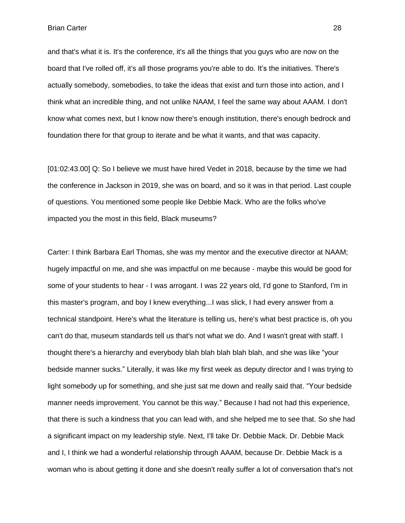and that's what it is. It's the conference, it's all the things that you guys who are now on the board that I've rolled off, it's all those programs you're able to do. It's the initiatives. There's actually somebody, somebodies, to take the ideas that exist and turn those into action, and I think what an incredible thing, and not unlike NAAM, I feel the same way about AAAM. I don't know what comes next, but I know now there's enough institution, there's enough bedrock and foundation there for that group to iterate and be what it wants, and that was capacity.

[01:02:43.00] Q: So I believe we must have hired Vedet in 2018, because by the time we had the conference in Jackson in 2019, she was on board, and so it was in that period. Last couple of questions. You mentioned some people like Debbie Mack. Who are the folks who've impacted you the most in this field, Black museums?

Carter: I think Barbara Earl Thomas, she was my mentor and the executive director at NAAM; hugely impactful on me, and she was impactful on me because - maybe this would be good for some of your students to hear - I was arrogant. I was 22 years old, I'd gone to Stanford, I'm in this master's program, and boy I knew everything...I was slick, I had every answer from a technical standpoint. Here's what the literature is telling us, here's what best practice is, oh you can't do that, museum standards tell us that's not what we do. And I wasn't great with staff. I thought there's a hierarchy and everybody blah blah blah blah blah, and she was like "your bedside manner sucks." Literally, it was like my first week as deputy director and I was trying to light somebody up for something, and she just sat me down and really said that. "Your bedside manner needs improvement. You cannot be this way." Because I had not had this experience, that there is such a kindness that you can lead with, and she helped me to see that. So she had a significant impact on my leadership style. Next, I'll take Dr. Debbie Mack. Dr. Debbie Mack and I, I think we had a wonderful relationship through AAAM, because Dr. Debbie Mack is a woman who is about getting it done and she doesn't really suffer a lot of conversation that's not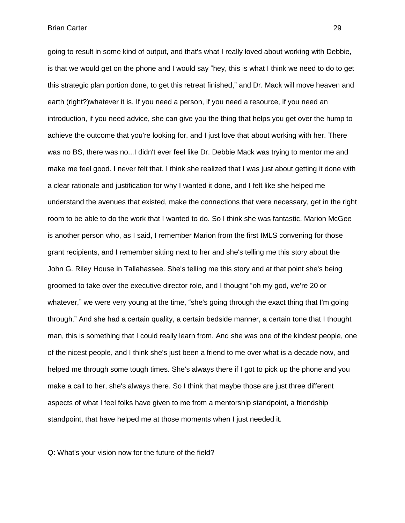going to result in some kind of output, and that's what I really loved about working with Debbie, is that we would get on the phone and I would say "hey, this is what I think we need to do to get this strategic plan portion done, to get this retreat finished," and Dr. Mack will move heaven and earth (right?)whatever it is. If you need a person, if you need a resource, if you need an introduction, if you need advice, she can give you the thing that helps you get over the hump to achieve the outcome that you're looking for, and I just love that about working with her. There was no BS, there was no...I didn't ever feel like Dr. Debbie Mack was trying to mentor me and make me feel good. I never felt that. I think she realized that I was just about getting it done with a clear rationale and justification for why I wanted it done, and I felt like she helped me understand the avenues that existed, make the connections that were necessary, get in the right room to be able to do the work that I wanted to do. So I think she was fantastic. Marion McGee is another person who, as I said, I remember Marion from the first IMLS convening for those grant recipients, and I remember sitting next to her and she's telling me this story about the John G. Riley House in Tallahassee. She's telling me this story and at that point she's being groomed to take over the executive director role, and I thought "oh my god, we're 20 or whatever," we were very young at the time, "she's going through the exact thing that I'm going through." And she had a certain quality, a certain bedside manner, a certain tone that I thought man, this is something that I could really learn from. And she was one of the kindest people, one of the nicest people, and I think she's just been a friend to me over what is a decade now, and helped me through some tough times. She's always there if I got to pick up the phone and you make a call to her, she's always there. So I think that maybe those are just three different aspects of what I feel folks have given to me from a mentorship standpoint, a friendship standpoint, that have helped me at those moments when I just needed it.

Q: What's your vision now for the future of the field?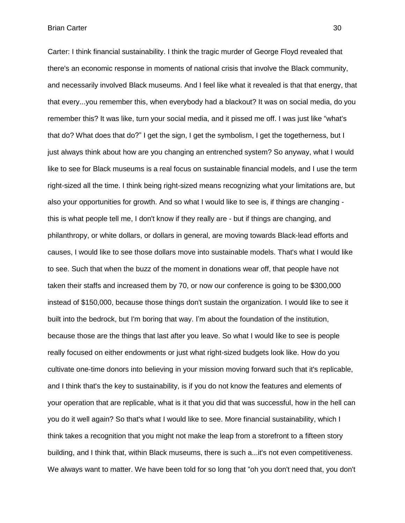Carter: I think financial sustainability. I think the tragic murder of George Floyd revealed that there's an economic response in moments of national crisis that involve the Black community, and necessarily involved Black museums. And I feel like what it revealed is that that energy, that that every...you remember this, when everybody had a blackout? It was on social media, do you remember this? It was like, turn your social media, and it pissed me off. I was just like "what's that do? What does that do?" I get the sign, I get the symbolism, I get the togetherness, but I just always think about how are you changing an entrenched system? So anyway, what I would like to see for Black museums is a real focus on sustainable financial models, and I use the term right-sized all the time. I think being right-sized means recognizing what your limitations are, but also your opportunities for growth. And so what I would like to see is, if things are changing this is what people tell me, I don't know if they really are - but if things are changing, and philanthropy, or white dollars, or dollars in general, are moving towards Black-lead efforts and causes, I would like to see those dollars move into sustainable models. That's what I would like to see. Such that when the buzz of the moment in donations wear off, that people have not taken their staffs and increased them by 70, or now our conference is going to be \$300,000 instead of \$150,000, because those things don't sustain the organization. I would like to see it built into the bedrock, but I'm boring that way. I'm about the foundation of the institution, because those are the things that last after you leave. So what I would like to see is people really focused on either endowments or just what right-sized budgets look like. How do you cultivate one-time donors into believing in your mission moving forward such that it's replicable, and I think that's the key to sustainability, is if you do not know the features and elements of your operation that are replicable, what is it that you did that was successful, how in the hell can you do it well again? So that's what I would like to see. More financial sustainability, which I think takes a recognition that you might not make the leap from a storefront to a fifteen story building, and I think that, within Black museums, there is such a...it's not even competitiveness. We always want to matter. We have been told for so long that "oh you don't need that, you don't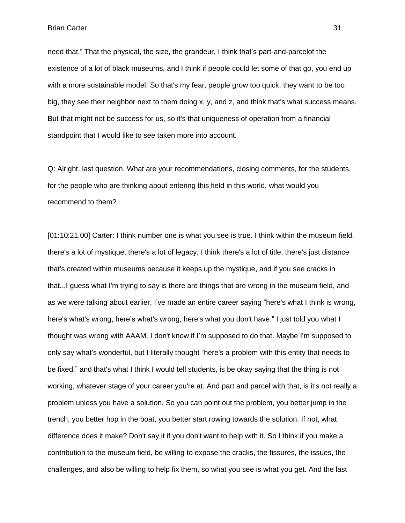need that." That the physical, the size, the grandeur, I think that's part-and-parcelof the existence of a lot of black museums, and I think if people could let some of that go, you end up with a more sustainable model. So that's my fear, people grow too quick, they want to be too big, they see their neighbor next to them doing x, y, and z, and think that's what success means. But that might not be success for us, so it's that uniqueness of operation from a financial standpoint that I would like to see taken more into account.

Q: Alright, last question. What are your recommendations, closing comments, for the students, for the people who are thinking about entering this field in this world, what would you recommend to them?

[01:10:21.00] Carter: I think number one is what you see is true. I think within the museum field, there's a lot of mystique, there's a lot of legacy, I think there's a lot of title, there's just distance that's created within museums because it keeps up the mystique, and if you see cracks in that...I guess what I'm trying to say is there are things that are wrong in the museum field, and as we were talking about earlier, I've made an entire career saying "here's what I think is wrong, here's what's wrong, here's what's wrong, here's what you don't have." I just told you what I thought was wrong with AAAM. I don't know if I'm supposed to do that. Maybe I'm supposed to only say what's wonderful, but I literally thought "here's a problem with this entity that needs to be fixed," and that's what I think I would tell students, is be okay saying that the thing is not working, whatever stage of your career you're at. And part and parcel with that, is it's not really a problem unless you have a solution. So you can point out the problem, you better jump in the trench, you better hop in the boat, you better start rowing towards the solution. If not, what difference does it make? Don't say it if you don't want to help with it. So I think if you make a contribution to the museum field, be willing to expose the cracks, the fissures, the issues, the challenges, and also be willing to help fix them, so what you see is what you get. And the last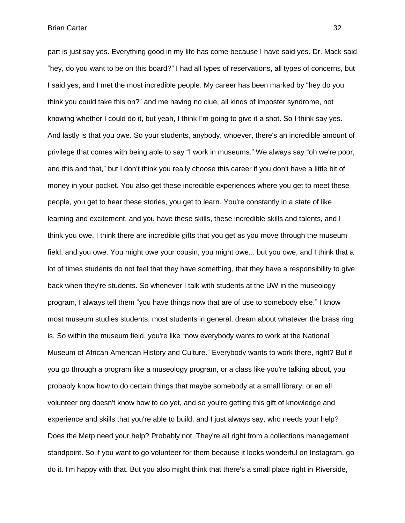part is just say yes. Everything good in my life has come because I have said yes. Dr. Mack said "hey, do you want to be on this board?" I had all types of reservations, all types of concerns, but I said yes, and I met the most incredible people. My career has been marked by "hey do you think you could take this on?" and me having no clue, all kinds of imposter syndrome, not knowing whether I could do it, but yeah, I think I'm going to give it a shot. So I think say yes. And lastly is that you owe. So your students, anybody, whoever, there's an incredible amount of privilege that comes with being able to say "I work in museums." We always say "oh we're poor, and this and that," but I don't think you really choose this career if you don't have a little bit of money in your pocket. You also get these incredible experiences where you get to meet these people, you get to hear these stories, you get to learn. You're constantly in a state of like learning and excitement, and you have these skills, these incredible skills and talents, and I think you owe. I think there are incredible gifts that you get as you move through the museum field, and you owe. You might owe your cousin, you might owe... but you owe, and I think that a lot of times students do not feel that they have something, that they have a responsibility to give back when they're students. So whenever I talk with students at the UW in the museology program, I always tell them "you have things now that are of use to somebody else." I know most museum studies students, most students in general, dream about whatever the brass ring is. So within the museum field, you're like "now everybody wants to work at the National Museum of African American History and Culture." Everybody wants to work there, right? But if you go through a program like a museology program, or a class like you're talking about, you probably know how to do certain things that maybe somebody at a small library, or an all volunteer org doesn't know how to do yet, and so you're getting this gift of knowledge and experience and skills that you're able to build, and I just always say, who needs your help? Does the Metp need your help? Probably not. They're all right from a collections management standpoint. So if you want to go volunteer for them because it looks wonderful on Instagram, go do it. I'm happy with that. But you also might think that there's a small place right in Riverside,